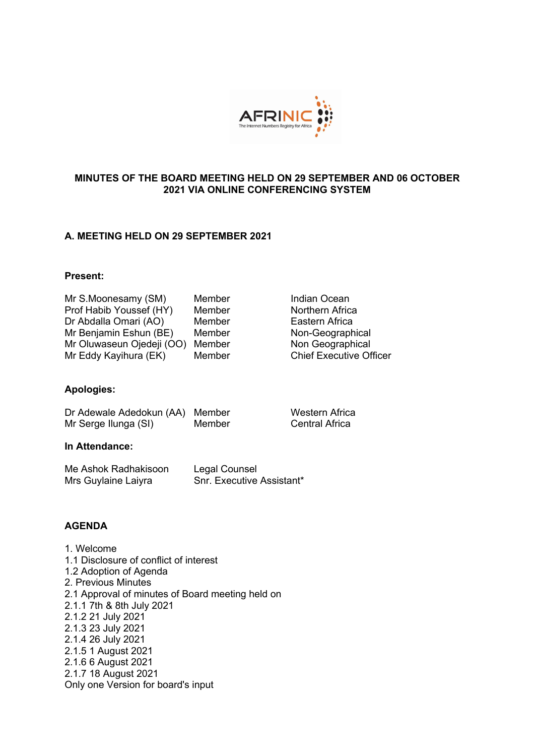

# **MINUTES OF THE BOARD MEETING HELD ON 29 SEPTEMBER AND 06 OCTOBER 2021 VIA ONLINE CONFERENCING SYSTEM**

## **A. MEETING HELD ON 29 SEPTEMBER 2021**

#### **Present:**

| Mr S.Moonesamy (SM)       | Member |
|---------------------------|--------|
| Prof Habib Youssef (HY)   | Member |
| Dr Abdalla Omari (AO)     | Member |
| Mr Benjamin Eshun (BE)    | Member |
| Mr Oluwaseun Ojedeji (OO) | Member |
| Mr Eddy Kayihura (EK)     | Member |

**Indian Ocean Northern Africa** Eastern Africa Non-Geographical Non Geographical **Chief Executive Officer** 

Western Africa Central Africa

## **Apologies:**

| Dr Adewale Adedokun (AA) Member |        |
|---------------------------------|--------|
| Mr Serge Ilunga (SI)            | Member |

#### **In Attendance:**

| Me Ashok Radhakisoon | Legal Counsel             |
|----------------------|---------------------------|
| Mrs Guylaine Laiyra  | Snr. Executive Assistant* |

## **AGENDA**

1. Welcome 1.1 Disclosure of conflict of interest 1.2 Adoption of Agenda 2. Previous Minutes 2.1 Approval of minutes of Board meeting held on 2.1.1 7th & 8th July 2021 2.1.2 21 July 2021 2.1.3 23 July 2021 2.1.4 26 July 2021 2.1.5 1 August 2021 2.1.6 6 August 2021 2.1.7 18 August 2021 Only one Version for board's input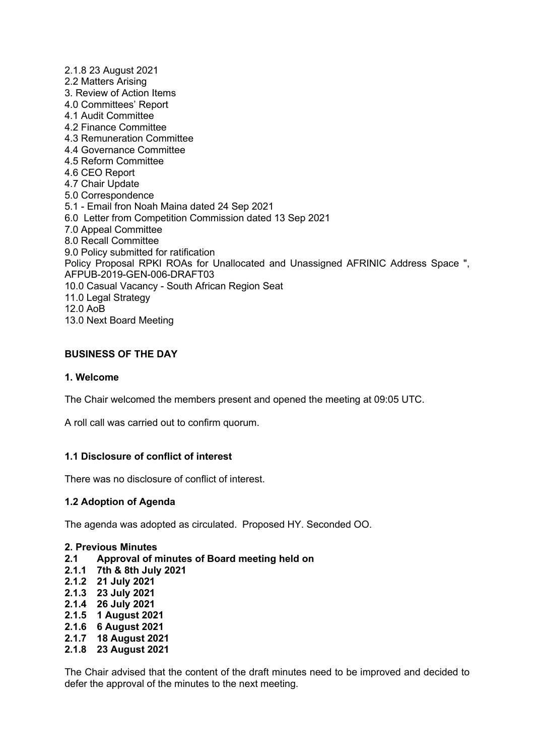2.1.8 23 August 2021 2.2 Matters Arising 3. Review of Action Items 4.0 Committees' Report 4.1 Audit Committee 4.2 Finance Committee 4.3 Remuneration Committee 4.4 Governance Committee 4.5 Reform Committee 4.6 CEO Report 4.7 Chair Update 5.0 Correspondence 5.1 - Email fron Noah Maina dated 24 Sep 2021 6.0 Letter from Competition Commission dated 13 Sep 2021 7.0 Appeal Committee 8.0 Recall Committee 9.0 Policy submitted for ratification Policy Proposal RPKI ROAs for Unallocated and Unassigned AFRINIC Address Space ", AFPUB-2019-GEN-006-DRAFT03 10.0 Casual Vacancy - South African Region Seat 11.0 Legal Strategy 12.0 AoB 13.0 Next Board Meeting

# **BUSINESS OF THE DAY**

### **1. Welcome**

The Chair welcomed the members present and opened the meeting at 09:05 UTC.

A roll call was carried out to confirm quorum.

## **1.1 Disclosure of conflict of interest**

There was no disclosure of conflict of interest.

## **1.2 Adoption of Agenda**

The agenda was adopted as circulated. Proposed HY. Seconded OO.

#### **2. Previous Minutes**

- **2.1 Approval of minutes of Board meeting held on**
- **2.1.1 7th & 8th July 2021**
- **2.1.2 21 July 2021**
- **2.1.3 23 July 2021**
- **2.1.4 26 July 2021**
- **2.1.5 1 August 2021**
- **2.1.6 6 August 2021**
- **2.1.7 18 August 2021**
- **2.1.8 23 August 2021**

The Chair advised that the content of the draft minutes need to be improved and decided to defer the approval of the minutes to the next meeting.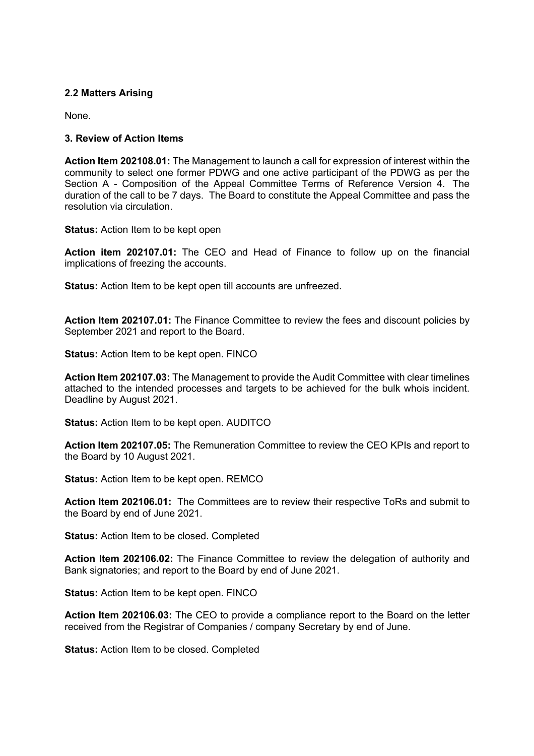### **2.2 Matters Arising**

None.

### **3. Review of Action Items**

**Action Item 202108.01:** The Management to launch a call for expression of interest within the community to select one former PDWG and one active participant of the PDWG as per the Section A - Composition of the Appeal Committee Terms of Reference Version 4. The duration of the call to be 7 days. The Board to constitute the Appeal Committee and pass the resolution via circulation.

**Status:** Action Item to be kept open

**Action item 202107.01:** The CEO and Head of Finance to follow up on the financial implications of freezing the accounts.

**Status:** Action Item to be kept open till accounts are unfreezed.

**Action Item 202107.01:** The Finance Committee to review the fees and discount policies by September 2021 and report to the Board.

**Status:** Action Item to be kept open. FINCO

**Action Item 202107.03:** The Management to provide the Audit Committee with clear timelines attached to the intended processes and targets to be achieved for the bulk whois incident. Deadline by August 2021.

**Status:** Action Item to be kept open. AUDITCO

**Action Item 202107.05:** The Remuneration Committee to review the CEO KPIs and report to the Board by 10 August 2021.

**Status:** Action Item to be kept open. REMCO

**Action Item 202106.01:** The Committees are to review their respective ToRs and submit to the Board by end of June 2021.

**Status:** Action Item to be closed. Completed

**Action Item 202106.02:** The Finance Committee to review the delegation of authority and Bank signatories; and report to the Board by end of June 2021.

**Status:** Action Item to be kept open. FINCO

**Action Item 202106.03:** The CEO to provide a compliance report to the Board on the letter received from the Registrar of Companies / company Secretary by end of June.

**Status:** Action Item to be closed. Completed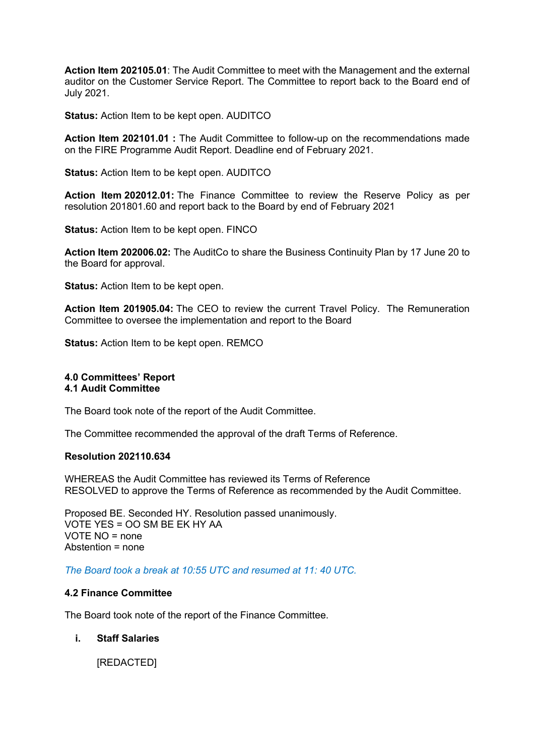**Action Item 202105.01**: The Audit Committee to meet with the Management and the external auditor on the Customer Service Report. The Committee to report back to the Board end of July 2021.

**Status:** Action Item to be kept open. AUDITCO

**Action Item 202101.01 :** The Audit Committee to follow-up on the recommendations made on the FIRE Programme Audit Report. Deadline end of February 2021.

**Status:** Action Item to be kept open. AUDITCO

**Action Item 202012.01:** The Finance Committee to review the Reserve Policy as per resolution 201801.60 and report back to the Board by end of February 2021

**Status:** Action Item to be kept open. FINCO

**Action Item 202006.02:** The AuditCo to share the Business Continuity Plan by 17 June 20 to the Board for approval.

**Status:** Action Item to be kept open.

**Action Item 201905.04:** The CEO to review the current Travel Policy. The Remuneration Committee to oversee the implementation and report to the Board

**Status:** Action Item to be kept open. REMCO

#### **4.0 Committees' Report 4.1 Audit Committee**

The Board took note of the report of the Audit Committee.

The Committee recommended the approval of the draft Terms of Reference.

#### **Resolution 202110.634**

WHEREAS the Audit Committee has reviewed its Terms of Reference RESOLVED to approve the Terms of Reference as recommended by the Audit Committee.

Proposed BE. Seconded HY. Resolution passed unanimously. VOTE YES = OO SM BE EK HY AA VOTE NO = none Abstention = none

*The Board took a break at 10:55 UTC and resumed at 11: 40 UTC.*

#### **4.2 Finance Committee**

The Board took note of the report of the Finance Committee.

#### **i. Staff Salaries**

[REDACTED]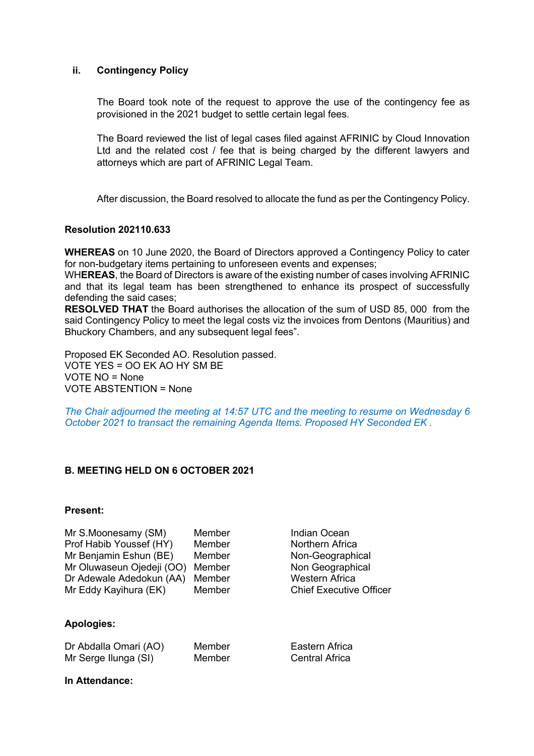### **ii. Contingency Policy**

The Board took note of the request to approve the use of the contingency fee as provisioned in the 2021 budget to settle certain legal fees.

The Board reviewed the list of legal cases filed against AFRINIC by Cloud Innovation Ltd and the related cost / fee that is being charged by the different lawyers and attorneys which are part of AFRINIC Legal Team.

After discussion, the Board resolved to allocate the fund as per the Contingency Policy.

### **Resolution 202110.633**

**WHEREAS** on 10 June 2020, the Board of Directors approved a Contingency Policy to cater for non-budgetary items pertaining to unforeseen events and expenses;

WH**EREAS**, the Board of Directors is aware of the existing number of cases involving AFRINIC and that its legal team has been strengthened to enhance its prospect of successfully defending the said cases;

**RESOLVED THAT** the Board authorises the allocation of the sum of USD 85, 000 from the said Contingency Policy to meet the legal costs viz the invoices from Dentons (Mauritius) and Bhuckory Chambers, and any subsequent legal fees".

Proposed EK Seconded AO. Resolution passed. VOTE YES = OO EK AO HY SM BE VOTE NO = None VOTE ABSTENTION = None

*The Chair adjourned the meeting at 14:57 UTC and the meeting to resume on Wednesday 6 October 2021 to transact the remaining Agenda Items. Proposed HY Seconded EK .*

## **B. MEETING HELD ON 6 OCTOBER 2021**

### **Present:**

| Mr S.Moonesamy (SM)       | Member |
|---------------------------|--------|
| Prof Habib Youssef (HY)   | Member |
| Mr Benjamin Eshun (BE)    | Member |
| Mr Oluwaseun Ojedeji (OO) | Member |
| Dr Adewale Adedokun (AA)  | Member |
| Mr Eddy Kayihura (EK)     | Member |

**Apologies:**

| Dr Abdalla Omari (AO) | Membe |
|-----------------------|-------|
| Mr Serge Ilunga (SI)  | Membe |

Indian Ocean **Northern Africa** Non-Geographical Non Geographical Western Africa Chief Executive Officer

er **Eastern Africa** er **Central Africa** 

**In Attendance:**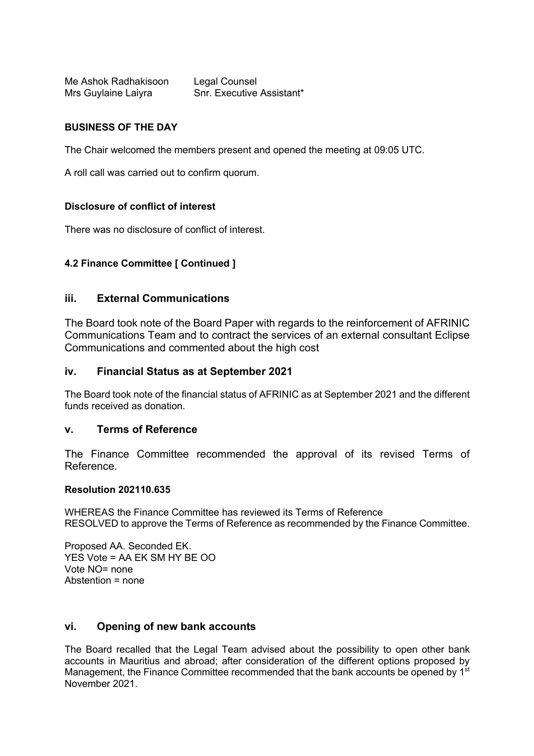Me Ashok Radhakisoon Legal Counsel Mrs Guylaine Laiyra Snr. Executive Assistant\*

# **BUSINESS OF THE DAY**

The Chair welcomed the members present and opened the meeting at 09:05 UTC.

A roll call was carried out to confirm quorum.

## **Disclosure of conflict of interest**

There was no disclosure of conflict of interest.

## **4.2 Finance Committee [ Continued ]**

## **iii. External Communications**

The Board took note of the Board Paper with regards to the reinforcement of AFRINIC Communications Team and to contract the services of an external consultant Eclipse Communications and commented about the high cost

### **iv. Financial Status as at September 2021**

The Board took note of the financial status of AFRINIC as at September 2021 and the different funds received as donation.

## **v. Terms of Reference**

The Finance Committee recommended the approval of its revised Terms of Reference.

#### **Resolution 202110.635**

WHEREAS the Finance Committee has reviewed its Terms of Reference RESOLVED to approve the Terms of Reference as recommended by the Finance Committee.

Proposed AA. Seconded EK. YES Vote = AA EK SM HY BE OO Vote NO= none Abstention = none

# **vi. Opening of new bank accounts**

The Board recalled that the Legal Team advised about the possibility to open other bank accounts in Mauritius and abroad; after consideration of the different options proposed by Management, the Finance Committee recommended that the bank accounts be opened by 1<sup>st</sup> November 2021.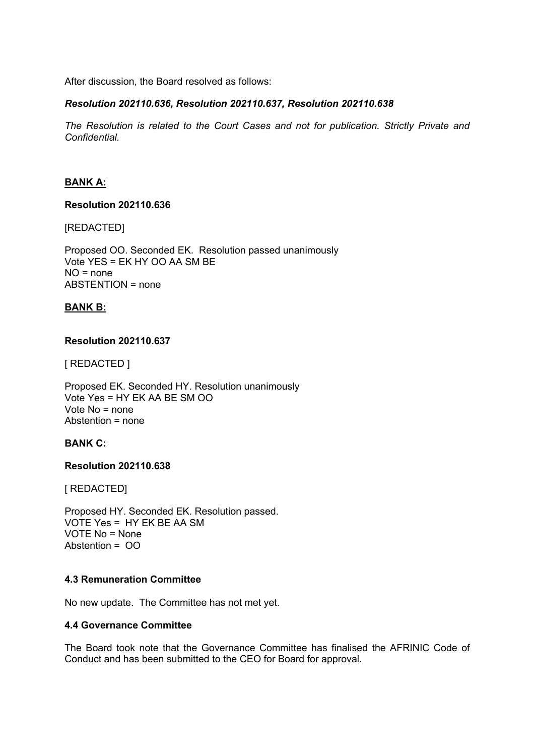After discussion, the Board resolved as follows:

# *Resolution 202110.636, Resolution 202110.637, Resolution 202110.638*

*The Resolution is related to the Court Cases and not for publication. Strictly Private and Confidential.*

# **BANK A:**

### **Resolution 202110.636**

[REDACTED]

Proposed OO. Seconded EK. Resolution passed unanimously Vote YES = EK HY OO AA SM BE NO = none ABSTENTION = none

## **BANK B:**

### **Resolution 202110.637**

[ REDACTED ]

Proposed EK. Seconded HY. Resolution unanimously Vote Yes = HY EK AA BE SM OO Vote No = none Abstention = none

## **BANK C:**

#### **Resolution 202110.638**

[ REDACTED]

Proposed HY. Seconded EK. Resolution passed. VOTE Yes = HY EK BE AA SM VOTE No = None Abstention = OO

## **4.3 Remuneration Committee**

No new update. The Committee has not met yet.

## **4.4 Governance Committee**

The Board took note that the Governance Committee has finalised the AFRINIC Code of Conduct and has been submitted to the CEO for Board for approval.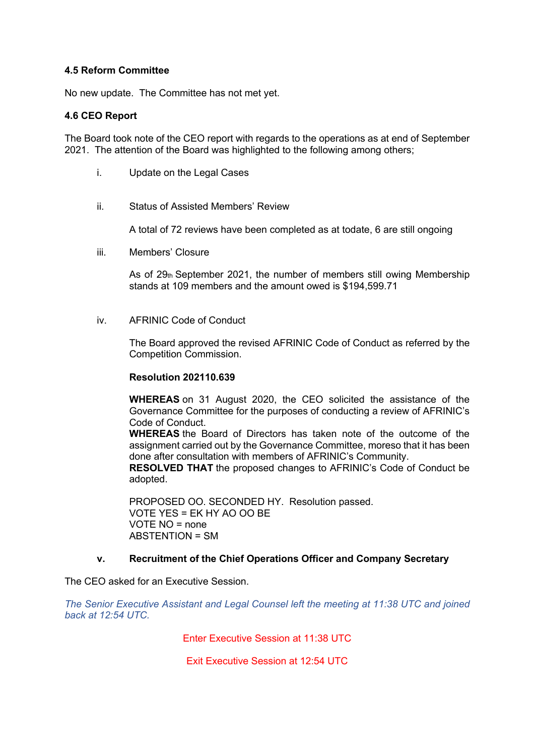### **4.5 Reform Committee**

No new update. The Committee has not met yet.

### **4.6 CEO Report**

The Board took note of the CEO report with regards to the operations as at end of September 2021. The attention of the Board was highlighted to the following among others;

- i. Update on the Legal Cases
- ii. Status of Assisted Members' Review

A total of 72 reviews have been completed as at todate, 6 are still ongoing

iii. Members' Closure

As of  $29<sub>th</sub>$  September 2021, the number of members still owing Membership stands at 109 members and the amount owed is \$194,599.71

iv. AFRINIC Code of Conduct

The Board approved the revised AFRINIC Code of Conduct as referred by the Competition Commission.

#### **Resolution 202110.639**

**WHEREAS** on 31 August 2020, the CEO solicited the assistance of the Governance Committee for the purposes of conducting a review of AFRINIC's Code of Conduct.

**WHEREAS** the Board of Directors has taken note of the outcome of the assignment carried out by the Governance Committee, moreso that it has been done after consultation with members of AFRINIC's Community.

**RESOLVED THAT** the proposed changes to AFRINIC's Code of Conduct be adopted.

PROPOSED OO. SECONDED HY. Resolution passed. VOTE YES = EK HY AO OO BE VOTE NO = none ABSTENTION = SM

## **v. Recruitment of the Chief Operations Officer and Company Secretary**

The CEO asked for an Executive Session.

*The Senior Executive Assistant and Legal Counsel left the meeting at 11:38 UTC and joined back at 12:54 UTC.*

Enter Executive Session at 11:38 UTC

Exit Executive Session at 12:54 UTC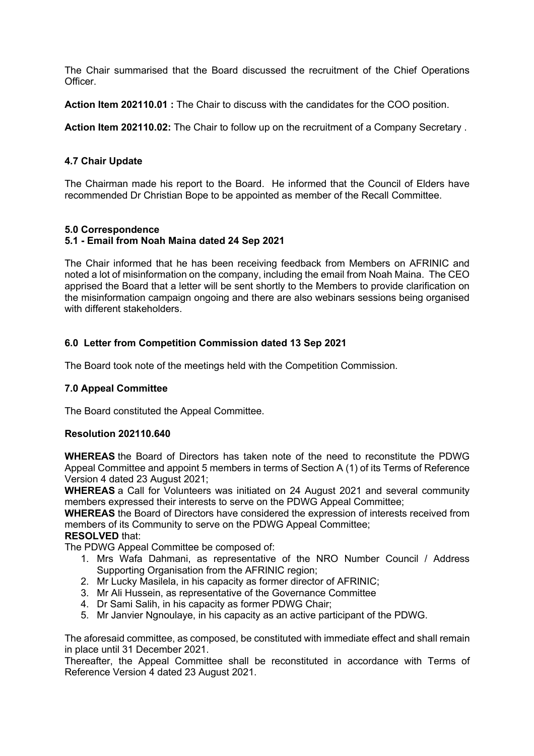The Chair summarised that the Board discussed the recruitment of the Chief Operations Officer.

**Action Item 202110.01 :** The Chair to discuss with the candidates for the COO position.

**Action Item 202110.02:** The Chair to follow up on the recruitment of a Company Secretary .

## **4.7 Chair Update**

The Chairman made his report to the Board. He informed that the Council of Elders have recommended Dr Christian Bope to be appointed as member of the Recall Committee.

## **5.0 Correspondence**

## **5.1 - Email from Noah Maina dated 24 Sep 2021**

The Chair informed that he has been receiving feedback from Members on AFRINIC and noted a lot of misinformation on the company, including the email from Noah Maina. The CEO apprised the Board that a letter will be sent shortly to the Members to provide clarification on the misinformation campaign ongoing and there are also webinars sessions being organised with different stakeholders.

## **6.0 Letter from Competition Commission dated 13 Sep 2021**

The Board took note of the meetings held with the Competition Commission.

## **7.0 Appeal Committee**

The Board constituted the Appeal Committee.

## **Resolution 202110.640**

**WHEREAS** the Board of Directors has taken note of the need to reconstitute the PDWG Appeal Committee and appoint 5 members in terms of Section A (1) of its Terms of Reference Version 4 dated 23 August 2021;

**WHEREAS** a Call for Volunteers was initiated on 24 August 2021 and several community members expressed their interests to serve on the PDWG Appeal Committee;

**WHEREAS** the Board of Directors have considered the expression of interests received from members of its Community to serve on the PDWG Appeal Committee;

### **RESOLVED** that:

The PDWG Appeal Committee be composed of:

- 1. Mrs Wafa Dahmani, as representative of the NRO Number Council / Address Supporting Organisation from the AFRINIC region;
- 2. Mr Lucky Masilela, in his capacity as former director of AFRINIC;
- 3. Mr Ali Hussein, as representative of the Governance Committee
- 4. Dr Sami Salih, in his capacity as former PDWG Chair;
- 5. Mr Janvier Ngnoulaye, in his capacity as an active participant of the PDWG.

The aforesaid committee, as composed, be constituted with immediate effect and shall remain in place until 31 December 2021.

Thereafter, the Appeal Committee shall be reconstituted in accordance with Terms of Reference Version 4 dated 23 August 2021.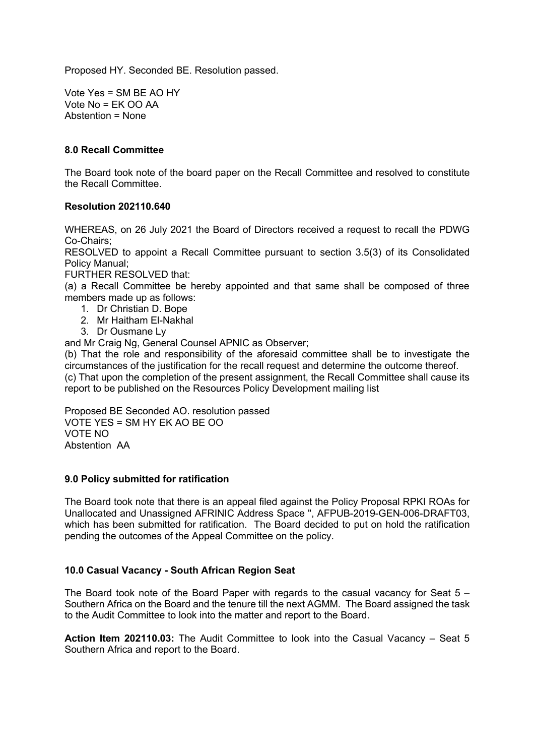Proposed HY. Seconded BE. Resolution passed.

Vote Yes = SM BE AO HY Vote  $No = FK$   $OO$  AA Abstention = None

### **8.0 Recall Committee**

The Board took note of the board paper on the Recall Committee and resolved to constitute the Recall Committee.

### **Resolution 202110.640**

WHEREAS, on 26 July 2021 the Board of Directors received a request to recall the PDWG Co-Chairs;

RESOLVED to appoint a Recall Committee pursuant to section 3.5(3) of its Consolidated Policy Manual;

FURTHER RESOLVED that:

(a) a Recall Committee be hereby appointed and that same shall be composed of three members made up as follows:

- 1. Dr Christian D. Bope
- 2. Mr Haitham El-Nakhal
- 3. Dr Ousmane Ly

and Mr Craig Ng, General Counsel APNIC as Observer;

(b) That the role and responsibility of the aforesaid committee shall be to investigate the circumstances of the justification for the recall request and determine the outcome thereof.

(c) That upon the completion of the present assignment, the Recall Committee shall cause its report to be published on the Resources Policy Development mailing list

Proposed BE Seconded AO. resolution passed VOTE YES = SM HY EK AO BE OO VOTE NO Abstention AA

#### **9.0 Policy submitted for ratification**

The Board took note that there is an appeal filed against the Policy Proposal RPKI ROAs for Unallocated and Unassigned AFRINIC Address Space ", AFPUB-2019-GEN-006-DRAFT03, which has been submitted for ratification. The Board decided to put on hold the ratification pending the outcomes of the Appeal Committee on the policy.

## **10.0 Casual Vacancy - South African Region Seat**

The Board took note of the Board Paper with regards to the casual vacancy for Seat 5 – Southern Africa on the Board and the tenure till the next AGMM. The Board assigned the task to the Audit Committee to look into the matter and report to the Board.

**Action Item 202110.03:** The Audit Committee to look into the Casual Vacancy – Seat 5 Southern Africa and report to the Board.